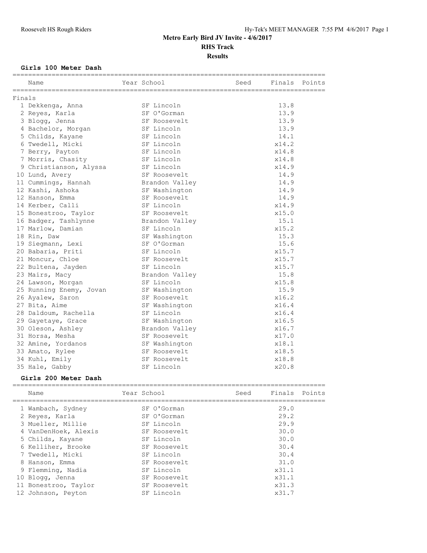### **Girls 100 Meter Dash**

|        | Name                    | Year School    | Seed | Finals | Points |
|--------|-------------------------|----------------|------|--------|--------|
| Finals |                         |                |      |        |        |
|        | 1 Dekkenga, Anna        | SF Lincoln     |      | 13.8   |        |
|        | 2 Reyes, Karla          | SF O'Gorman    |      | 13.9   |        |
|        | 3 Blogg, Jenna          | SF Roosevelt   |      | 13.9   |        |
|        | 4 Bachelor, Morgan      | SF Lincoln     |      | 13.9   |        |
|        | 5 Childs, Kayane        | SF Lincoln     |      | 14.1   |        |
|        | 6 Twedell, Micki        | SF Lincoln     |      | x14.2  |        |
|        | 7 Berry, Payton         | SF Lincoln     |      | x14.8  |        |
|        | 7 Morris, Chasity       | SF Lincoln     |      | x14.8  |        |
|        | 9 Christianson, Alyssa  | SF Lincoln     |      | x14.9  |        |
|        | 10 Lund, Avery          | SF Roosevelt   |      | 14.9   |        |
|        | 11 Cummings, Hannah     | Brandon Valley |      | 14.9   |        |
|        | 12 Kashi, Ashoka        | SF Washington  |      | 14.9   |        |
|        | 12 Hanson, Emma         | SF Roosevelt   |      | 14.9   |        |
|        | 14 Kerber, Calli        | SF Lincoln     |      | x14.9  |        |
|        | 15 Bonestroo, Taylor    | SF Roosevelt   |      | x15.0  |        |
|        | 16 Badger, Tashlynne    | Brandon Valley |      | 15.1   |        |
|        | 17 Marlow, Damian       | SF Lincoln     |      | x15.2  |        |
|        | 18 Rin, Daw             | SF Washington  |      | 15.3   |        |
|        | 19 Siegmann, Lexi       | SF O'Gorman    |      | 15.6   |        |
|        | 20 Babaria, Priti       | SF Lincoln     |      | x15.7  |        |
|        | 21 Moncur, Chloe        | SF Roosevelt   |      | x15.7  |        |
|        | 22 Bultena, Jayden      | SF Lincoln     |      | x15.7  |        |
|        | 23 Mairs, Macy          | Brandon Valley |      | 15.8   |        |
|        | 24 Lawson, Morgan       | SF Lincoln     |      | x15.8  |        |
|        | 25 Running Enemy, Jovan | SF Washington  |      | 15.9   |        |
|        | 26 Ayalew, Saron        | SF Roosevelt   |      | x16.2  |        |
|        | 27 Bita, Aime           | SF Washington  |      | x16.4  |        |
|        | 28 Daldoum, Rachella    | SF Lincoln     |      | x16.4  |        |
|        | 29 Gayetaye, Grace      | SF Washington  |      | x16.5  |        |
|        | 30 Oleson, Ashley       | Brandon Valley |      | x16.7  |        |
|        | 31 Horsa, Mesha         | SF Roosevelt   |      | x17.0  |        |
|        | 32 Amine, Yordanos      | SF Washington  |      | x18.1  |        |
|        | 33 Amato, Rylee         | SF Roosevelt   |      | x18.5  |        |
|        | 34 Kuhl, Emily          | SF Roosevelt   |      | x18.8  |        |
|        | 35 Hale, Gabby          | SF Lincoln     |      | x20.8  |        |

#### **Girls 200 Meter Dash**

| Name                 | Year School |              | Seed | Finals Points |  |
|----------------------|-------------|--------------|------|---------------|--|
| 1 Wambach, Sydney    |             | SF O'Gorman  |      | 29.0          |  |
| 2 Reyes, Karla       |             | SF O'Gorman  |      | 29.2          |  |
| 3 Mueller, Millie    |             | SF Lincoln   |      | 29.9          |  |
| 4 VanDenHoek, Alexis |             | SF Roosevelt |      | 30.0          |  |
| 5 Childs, Kayane     |             | SF Lincoln   |      | 30.0          |  |
| 6 Kelliher, Brooke   |             | SF Roosevelt |      | 30.4          |  |
| 7 Twedell, Micki     |             | SF Lincoln   |      | 30.4          |  |
| 8 Hanson, Emma       |             | SF Roosevelt |      | 31.0          |  |
| 9 Flemming, Nadia    |             | SF Lincoln   |      | x31.1         |  |
| 10 Blogg, Jenna      |             | SF Roosevelt |      | x31.1         |  |
| 11 Bonestroo, Taylor |             | SF Roosevelt |      | x31.3         |  |
| 12 Johnson, Peyton   |             | SF Lincoln   |      | x31.7         |  |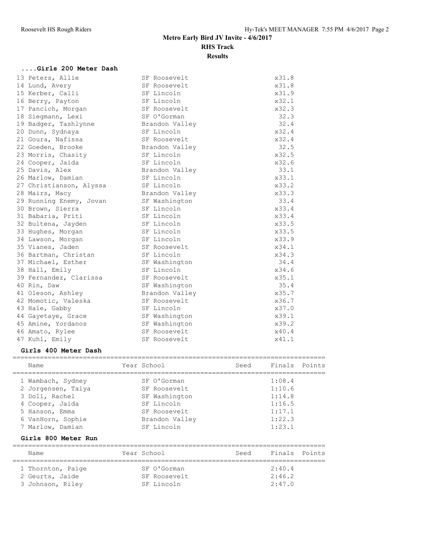## **....Girls 200 Meter Dash**

| 13 Peters, Allie        | SF Roosevelt   | x31.8 |
|-------------------------|----------------|-------|
| 14 Lund, Avery          | SF Roosevelt   | x31.8 |
| 15 Kerber, Calli        | SF Lincoln     | x31.9 |
| 16 Berry, Payton        | SF Lincoln     | x32.1 |
| 17 Pancich, Morgan      | SF Roosevelt   | x32.3 |
| 18 Siegmann, Lexi       | SF O'Gorman    | 32.3  |
| 19 Badger, Tashlynne    | Brandon Valley | 32.4  |
| 20 Dunn, Sydnaya        | SF Lincoln     | x32.4 |
| 21 Goura, Nafissa       | SF Roosevelt   | x32.4 |
| 22 Goeden, Brooke       | Brandon Valley | 32.5  |
| 23 Morris, Chasity      | SF Lincoln     | x32.5 |
| 24 Cooper, Jaida        | SF Lincoln     | x32.6 |
| 25 Davis, Alex          | Brandon Valley | 33.1  |
| 26 Marlow, Damian       | SF Lincoln     | x33.1 |
| 27 Christianson, Alyssa | SF Lincoln     | x33.2 |
| 28 Mairs, Macy          | Brandon Valley | x33.3 |
| 29 Running Enemy, Jovan | SF Washington  | 33.4  |
| 30 Brown, Sierra        | SF Lincoln     | x33.4 |
| 31 Babaria, Priti       | SF Lincoln     | x33.4 |
| 32 Bultena, Jayden      | SF Lincoln     | x33.5 |
| 33 Hughes, Morgan       | SF Lincoln     | x33.5 |
| 34 Lawson, Morgan       | SF Lincoln     | x33.9 |
| 35 Vianes, Jaden        | SF Roosevelt   | x34.1 |
| 36 Bartman, Christan    | SF Lincoln     | x34.3 |
| 37 Michael, Esther      | SF Washington  | 34.4  |
| 38 Hall, Emily          | SF Lincoln     | x34.6 |
| 39 Fernandez, Clarissa  | SF Roosevelt   | x35.1 |
| 40 Rin, Daw             | SF Washington  | 35.4  |
| 41 Oleson, Ashley       | Brandon Valley | x35.7 |
| 42 Momotic, Valeska     | SF Roosevelt   | x36.7 |
| 43 Hale, Gabby          | SF Lincoln     | x37.0 |
| 44 Gayetaye, Grace      | SF Washington  | x39.1 |
| 45 Amine, Yordanos      | SF Washington  | x39.2 |
| 46 Amato, Rylee         | SF Roosevelt   | x40.4 |
| 47 Kuhl, Emily          | SF Roosevelt   | x41.1 |
|                         |                |       |

#### **Girls 400 Meter Dash**

| Name                                                                                           | Year School                                                                | Seed | Finals Points                                  |  |
|------------------------------------------------------------------------------------------------|----------------------------------------------------------------------------|------|------------------------------------------------|--|
| 1 Wambach, Sydney<br>2 Jorgensen, Taiya<br>3 Doll, Rachel<br>4 Cooper, Jaida<br>5 Hanson, Emma | SF O'Gorman<br>SF Roosevelt<br>SF Washington<br>SF Lincoln<br>SF Roosevelt |      | 1:08.4<br>1:10.6<br>1:14.8<br>1:16.5<br>1:17.1 |  |
| 6 VanHorn, Sophie<br>7 Marlow, Damian                                                          | Brandon Valley<br>SF Lincoln                                               |      | 1:22.3<br>1:23.1                               |  |

### **Girls 800 Meter Run**

| Name                                                     | Year School                               | Seed | Finals Points              |  |  |  |  |
|----------------------------------------------------------|-------------------------------------------|------|----------------------------|--|--|--|--|
| 1 Thornton, Paige<br>2 Geurts, Jaide<br>3 Johnson, Riley | SF O'Gorman<br>SF Roosevelt<br>SF Lincoln |      | 2:40.4<br>2:46.2<br>2:47.0 |  |  |  |  |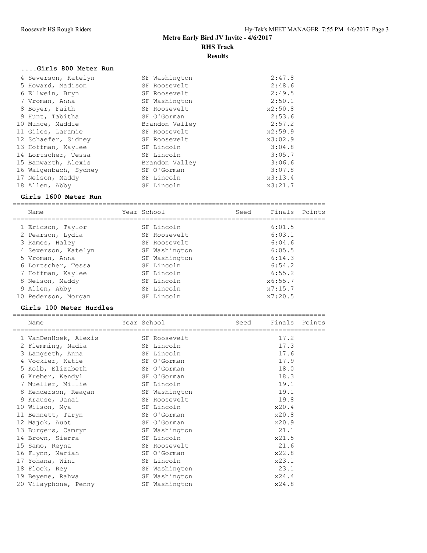#### **....Girls 800 Meter Run**

| 4 Severson, Katelyn   | SF Washington  | 2:47.8  |
|-----------------------|----------------|---------|
| 5 Howard, Madison     | SF Roosevelt   | 2:48.6  |
| 6 Ellwein, Bryn       | SF Roosevelt   | 2:49.5  |
| 7 Vroman, Anna        | SF Washington  | 2:50.1  |
| 8 Boyer, Faith        | SF Roosevelt   | x2:50.8 |
| 9 Hunt, Tabitha       | SF O'Gorman    | 2:53.6  |
| 10 Munce, Maddie      | Brandon Valley | 2:57.2  |
| 11 Giles, Laramie     | SF Roosevelt   | x2:59.9 |
| 12 Schaefer, Sidney   | SF Roosevelt   | x3:02.9 |
| 13 Hoffman, Kaylee    | SF Lincoln     | 3:04.8  |
| 14 Lortscher, Tessa   | SF Lincoln     | 3:05.7  |
| 15 Banwarth, Alexis   | Brandon Valley | 3:06.6  |
| 16 Walgenbach, Sydney | SF O'Gorman    | 3:07.8  |
| 17 Nelson, Maddy      | SF Lincoln     | x3:13.4 |
| 18 Allen, Abby        | SF Lincoln     | x3:21.7 |
|                       |                |         |

#### **Girls 1600 Meter Run**

================================================================================ name Tear School Seed Finals Points

| name                | rear school |               | seea | Finais Points |  |
|---------------------|-------------|---------------|------|---------------|--|
| 1 Ericson, Taylor   |             | SF Lincoln    |      | 6:01.5        |  |
| 2 Pearson, Lydia    |             | SF Roosevelt  |      | 6:03.1        |  |
| 3 Rames, Haley      |             | SF Roosevelt  |      | 6:04.6        |  |
| 4 Severson, Katelyn |             | SF Washington |      | 6:05.5        |  |
| 5 Vroman, Anna      |             | SF Washington |      | 6:14.3        |  |
| 6 Lortscher, Tessa  |             | SF Lincoln    |      | 6:54.2        |  |
| 7 Hoffman, Kaylee   |             | SF Lincoln    |      | 6:55.2        |  |
| 8 Nelson, Maddy     |             | SF Lincoln    |      | x6:55.7       |  |
| 9 Allen, Abby       |             | SF Lincoln    |      | x7:15.7       |  |
| 10 Pederson, Morgan |             | SF Lincoln    |      | x7:20.5       |  |

#### **Girls 100 Meter Hurdles**

| Name                 | Year School |               | Seed | Finals Points |  |
|----------------------|-------------|---------------|------|---------------|--|
| 1 VanDenHoek, Alexis |             | SF Roosevelt  |      | 17.2          |  |
| 2 Flemming, Nadia    |             | SF Lincoln    |      | 17.3          |  |
| 3 Langseth, Anna     |             | SF Lincoln    |      | 17.6          |  |
| 4 Vockler, Katie     |             | SF O'Gorman   |      | 17.9          |  |
| 5 Kolb, Elizabeth    |             | SF O'Gorman   |      | 18.0          |  |
| 6 Kreber, Kendyl     |             | SF O'Gorman   |      | 18.3          |  |
| 7 Mueller, Millie    |             | SF Lincoln    |      | 19.1          |  |
| 8 Henderson, Reagan  |             | SF Washington |      | 19.1          |  |
| 9 Krause, Janai      |             | SF Roosevelt  |      | 19.8          |  |
| 10 Wilson, Mya       |             | SF Lincoln    |      | x20.4         |  |
| 11 Bennett, Taryn    |             | SF O'Gorman   |      | x20.8         |  |
| 12 Majok, Auot       |             | SF O'Gorman   |      | x20.9         |  |
| 13 Burgers, Camryn   |             | SF Washington |      | 21.1          |  |
| 14 Brown, Sierra     |             | SF Lincoln    |      | x21.5         |  |
| 15 Samo, Reyna       |             | SF Roosevelt  |      | 21.6          |  |
| 16 Flynn, Mariah     |             | SF O'Gorman   |      | x22.8         |  |
| 17 Yohana, Wini      |             | SF Lincoln    |      | x23.1         |  |
| 18 Flock, Rey        |             | SF Washington |      | 23.1          |  |
| 19 Beyene, Rahwa     |             | SF Washington |      | x24.4         |  |
| 20 Vilayphone, Penny |             | SF Washington |      | x24.8         |  |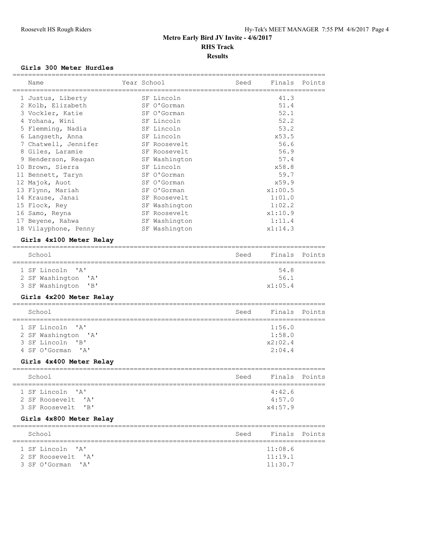#### **Girls 300 Meter Hurdles**

| Name                                      | Year School<br>============== | Seed | Finals<br>=========================== | Points |
|-------------------------------------------|-------------------------------|------|---------------------------------------|--------|
| 1 Justus, Liberty                         | SF Lincoln                    |      | 41.3                                  |        |
| 2 Kolb, Elizabeth                         | SF O'Gorman                   |      | 51.4                                  |        |
| 3 Vockler, Katie                          | SF O'Gorman                   |      | 52.1                                  |        |
| 4 Yohana, Wini                            | SF Lincoln                    |      | 52.2                                  |        |
| 5 Flemming, Nadia                         | SF Lincoln                    |      | 53.2                                  |        |
| 6 Langseth, Anna                          | SF Lincoln                    |      | x53.5                                 |        |
| 7 Chatwell, Jennifer                      | SF Roosevelt                  |      | 56.6                                  |        |
| 8 Giles, Laramie                          | SF Roosevelt                  |      | 56.9                                  |        |
| 9 Henderson, Reagan                       | SF Washington                 |      | 57.4                                  |        |
| 10 Brown, Sierra                          | SF Lincoln                    |      | x58.8                                 |        |
| 11 Bennett, Taryn                         | SF O'Gorman                   |      | 59.7                                  |        |
| 12 Majok, Auot                            | SF O'Gorman                   |      | x59.9                                 |        |
| 13 Flynn, Mariah                          | SF O'Gorman                   |      | x1:00.5                               |        |
| 14 Krause, Janai                          | SF Roosevelt                  |      | 1:01.0                                |        |
| 15 Flock, Rey                             | SF Washington                 |      | 1:02.2                                |        |
| 16 Samo, Reyna                            | SF Roosevelt                  |      | x1:10.9                               |        |
| 17 Beyene, Rahwa                          | SF Washington                 |      | 1:11.4                                |        |
| 18 Vilayphone, Penny                      | SF Washington                 |      | x1:14.3                               |        |
| Girls 4x100 Meter Relay                   |                               |      |                                       |        |
| School                                    |                               |      |                                       |        |
|                                           |                               | Seed | Finals                                | Points |
| 1 SF Lincoln<br>$^{\prime}$ A $^{\prime}$ |                               |      | 54.8                                  |        |
| 2 SF Washington<br>' A'                   |                               |      | 56.1                                  |        |
| 3 SF Washington<br>"B"                    |                               |      | x1:05.4                               |        |
| Girls 4x200 Meter Relay                   |                               |      |                                       |        |
| =========<br>School                       |                               | Seed | Finals                                | Points |
| 1 SF Lincoln<br>' A'                      |                               |      | 1:56.0                                |        |
| 2 SF Washington<br>$\mathsf{A}$           |                               |      | 1:58.0                                |        |
| 3 SF Lincoln<br>"B"                       |                               |      | x2:02.4                               |        |
| 4 SF O'Gorman<br>' A'                     |                               |      | 2:04.4                                |        |
| Girls 4x400 Meter Relay                   |                               |      |                                       |        |
|                                           |                               |      |                                       |        |
| School<br>========                        |                               | Seed | Finals                                | Points |
| 1 SF Lincoln 'A'                          |                               |      | 4:42.6                                |        |
| 2 SF Roosevelt 'A'                        |                               |      | 4:57.0                                |        |
| 3 SF Roosevelt<br>"B"                     |                               |      | x4:57.9                               |        |
| Girls 4x800 Meter Relay                   |                               |      |                                       |        |
| School                                    |                               | Seed | Finals                                | Points |
|                                           |                               |      |                                       |        |
| 1 SF Lincoln 'A'                          |                               |      | 11:08.6                               |        |
| 2 SF Roosevelt 'A'                        |                               |      | 11:19.1                               |        |
| 3 SF O'Gorman 'A'                         |                               |      | 11:30.7                               |        |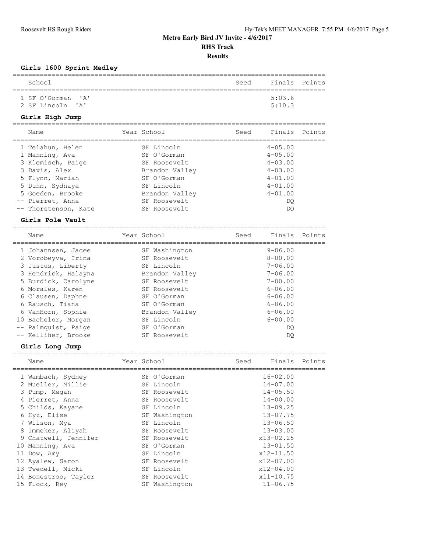**Results**

### **Girls 1600 Sprint Medley**

| School                                |                      |                                | Seed | Finals                     | Points |
|---------------------------------------|----------------------|--------------------------------|------|----------------------------|--------|
| 1 SF O'Gorman<br>2 SF Lincoln         | ' a '<br>' A'        |                                |      | 5:03.6<br>5:10.3           |        |
|                                       | Girls High Jump      | ============                   |      |                            |        |
| Name                                  |                      | Year School                    | Seed | Finals                     | Points |
|                                       | 1 Telahun, Helen     | SF Lincoln                     |      | $4 - 05.00$                |        |
| 1 Manning, Ava                        |                      | SF O'Gorman                    |      | $4 - 05.00$                |        |
| 3 Davis, Alex                         | 3 Klemisch, Paige    | SF Roosevelt<br>Brandon Valley |      | $4 - 03.00$<br>$4 - 03.00$ |        |
| 5 Flynn, Mariah                       |                      | SF O'Gorman                    |      | $4 - 01.00$                |        |
| 5 Dunn, Sydnaya                       |                      | SF Lincoln                     |      | $4 - 01.00$                |        |
|                                       | 5 Goeden, Brooke     | Brandon Valley                 |      | $4 - 01.00$                |        |
| -- Pierret, Anna                      |                      | SF Roosevelt                   |      | DQ                         |        |
|                                       | -- Thorstenson, Kate | SF Roosevelt                   |      | DQ                         |        |
|                                       | Girls Pole Vault     |                                |      |                            |        |
|                                       |                      |                                |      |                            |        |
| Name                                  |                      | Year School                    | Seed | Finals                     | Points |
|                                       | 1 Johannsen, Jacee   | SF Washington                  |      | $9 - 06.00$                |        |
|                                       | 2 Vorobeyva, Irina   | SF Roosevelt                   |      | $8 - 00.00$                |        |
|                                       | 3 Justus, Liberty    | SF Lincoln                     |      | $7 - 06.00$                |        |
|                                       | 3 Hendrick, Halayna  | Brandon Valley                 |      | $7 - 06.00$                |        |
|                                       | 5 Burdick, Carolyne  | SF Roosevelt                   |      | $7 - 00.00$                |        |
|                                       | 6 Morales, Karen     | SF Roosevelt                   |      | $6 - 06.00$                |        |
|                                       | 6 Clausen, Daphne    | SF O'Gorman                    |      | $6 - 06.00$                |        |
| 6 Rausch, Tiana                       |                      | SF O'Gorman                    |      | $6 - 06.00$                |        |
|                                       | 6 VanHorn, Sophie    | Brandon Valley                 |      | $6 - 06.00$                |        |
|                                       | 10 Bachelor, Morgan  | SF Lincoln                     |      | $6 - 00.00$                |        |
|                                       | -- Palmquist, Paige  | SF O'Gorman                    |      | DQ                         |        |
|                                       | -- Kelliher, Brooke  | SF Roosevelt                   |      | DQ                         |        |
|                                       | Girls Long Jump      |                                |      |                            |        |
| Name                                  |                      | Year School                    | Seed | Finals                     | Points |
|                                       | 1 Wambach, Sydney    | SF O'Gorman                    |      | $16 - 02.00$               |        |
|                                       | 2 Mueller, Millie    | SF Lincoln                     |      | $14 - 07.00$               |        |
| 3 Pump, Megan                         |                      | SF Roosevelt                   |      | $14 - 05.50$               |        |
| 4 Pierret, Anna                       |                      | SF Roosevelt                   |      | 14-00.00                   |        |
|                                       | 5 Childs, Kayane     | SF Lincoln                     |      | $13 - 09.25$               |        |
| 6 Hyz, Elise                          |                      | SF Washington                  |      | $13 - 07.75$               |        |
| 7 Wilson, Mya                         |                      | SF Lincoln                     |      | $13 - 06.50$               |        |
|                                       | 8 Immeker, Aliyah    | SF Roosevelt                   |      | $13 - 03.00$               |        |
|                                       | 9 Chatwell, Jennifer | SF Roosevelt                   |      | x13-02.25                  |        |
| 10 Manning, Ava                       |                      | SF O'Gorman<br>SF Lincoln      |      | $13 - 01.50$               |        |
| 11 Dow, Amy                           |                      | SF Roosevelt                   |      | x12-11.50                  |        |
| 12 Ayalew, Saron<br>13 Twedell, Micki |                      | SF Lincoln                     |      | x12-07.00<br>$x12 - 04.00$ |        |
|                                       | 14 Bonestroo, Taylor | SF Roosevelt                   |      | $x11 - 10.75$              |        |
| 15 Flock, Rey                         |                      | SF Washington                  |      | $11 - 06.75$               |        |
|                                       |                      |                                |      |                            |        |

================================================================================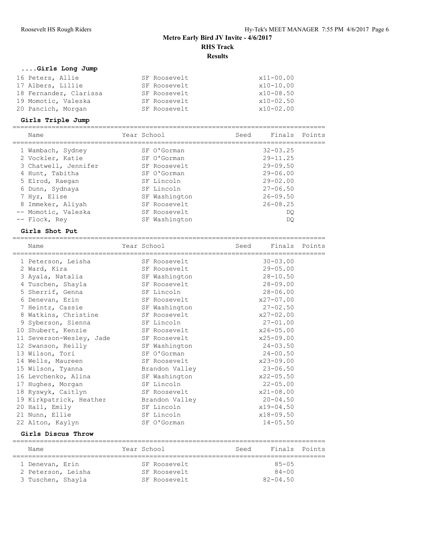## **....Girls Long Jump**

| 16 Peters, Allie       | SF Roosevelt | $x11 - 00.00$ |
|------------------------|--------------|---------------|
| 17 Albers, Lillie      | SF Roosevelt | x10-10.00     |
| 18 Fernandez, Clarissa | SF Roosevelt | $x10 - 08.50$ |
| 19 Momotic, Valeska    | SF Roosevelt | $x10 - 02.50$ |
| 20 Pancich, Morgan     | SF Roosevelt | x10-02.00     |

### **Girls Triple Jump**

| Name                 | Year School   | Seed | Finals       | Points |
|----------------------|---------------|------|--------------|--------|
| 1 Wambach, Sydney    | SF O'Gorman   |      | $32 - 03.25$ |        |
| 2 Vockler, Katie     | SF O'Gorman   |      | $29 - 11.25$ |        |
| 3 Chatwell, Jennifer | SF Roosevelt  |      | $29 - 09.50$ |        |
| 4 Hunt, Tabitha      | SF O'Gorman   |      | $29 - 06.00$ |        |
| 5 Elrod, Raegan      | SF Lincoln    |      | $29 - 02.00$ |        |
| 6 Dunn, Sydnaya      | SF Lincoln    |      | $27 - 06.50$ |        |
| 7 Hyz, Elise         | SF Washington |      | $26 - 09.50$ |        |
| 8 Immeker, Aliyah    | SF Roosevelt  |      | $26 - 08.25$ |        |
| -- Momotic, Valeska  | SF Roosevelt  |      | DO           |        |
| -- Flock, Rey        | SF Washington |      | DO           |        |

#### **Girls Shot Put**

| Name                     | Year School    | Seed | Finals Points |  |
|--------------------------|----------------|------|---------------|--|
| 1 Peterson, Leisha       | SF Roosevelt   |      | $30 - 03.00$  |  |
| 2 Ward, Kira             | SF Roosevelt   |      | $29 - 05.00$  |  |
| 3 Ayala, Natalia         | SF Washington  |      | $28 - 10.50$  |  |
| 4 Tuschen, Shayla        | SF Roosevelt   |      | $28 - 09.00$  |  |
| 5 Sherrif, Genna         | SF Lincoln     |      | $28 - 06.00$  |  |
| 6 Denevan, Erin          | SF Roosevelt   |      | $x27 - 07.00$ |  |
| 7 Heintz, Cassie         | SF Washington  |      | $27 - 02.50$  |  |
| 8 Watkins, Christine     | SF Roosevelt   |      | $x27 - 02.00$ |  |
| 9 Syberson, Sienna       | SF Lincoln     |      | $27 - 01.00$  |  |
| 10 Shubert, Kenzie       | SF Roosevelt   |      | $x26 - 05.00$ |  |
| 11 Severson-Wesley, Jade | SF Roosevelt   |      | $x25 - 09.00$ |  |
| 12 Swanson, Reilly       | SF Washington  |      | $24 - 03.50$  |  |
| 13 Wilson, Tori          | SF O'Gorman    |      | $24 - 00.50$  |  |
| 14 Wells, Maureen        | SF Roosevelt   |      | $x23 - 09.00$ |  |
| 15 Wilson, Tyanna        | Brandon Valley |      | $23 - 06.50$  |  |
| 16 Levchenko, Alina      | SF Washington  |      | $x22 - 05.50$ |  |
| 17 Hughes, Morgan        | SF Lincoln     |      | $22 - 05.00$  |  |
| 18 Ryswyk, Caitlyn       | SF Roosevelt   |      | $x21 - 08.00$ |  |
| 19 Kirkpatrick, Heather  | Brandon Valley |      | $20 - 04.50$  |  |
| 20 Hall, Emily           | SF Lincoln     |      | $x19 - 04.50$ |  |
| 21 Nunn, Ellie           | SF Lincoln     |      | $x18 - 09.50$ |  |
| 22 Alton, Kaylyn         | SF O'Gorman    |      | $14 - 05.50$  |  |

### **Girls Discus Throw**

| Name |                    | Year School  | Finals Points<br>Seed |  |  |  |  |  |  |
|------|--------------------|--------------|-----------------------|--|--|--|--|--|--|
|      |                    |              |                       |  |  |  |  |  |  |
|      | 1 Denevan, Erin    | SF Roosevelt | $85 - 05$             |  |  |  |  |  |  |
|      | 2 Peterson, Leisha | SF Roosevelt | $84 - 00$             |  |  |  |  |  |  |
|      | 3 Tuschen, Shayla  | SF Roosevelt | $82 - 04.50$          |  |  |  |  |  |  |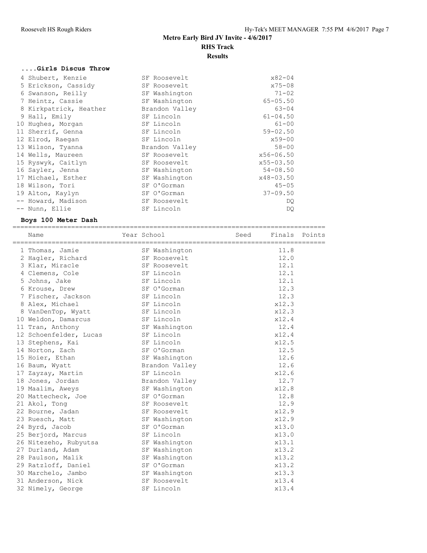## **....Girls Discus Throw**

| $x75 - 08$<br>5 Erickson, Cassidy<br>SF Roosevelt<br>$71 - 02$<br>6 Swanson, Reilly<br>SF Washington<br>$65 - 05.50$<br>SF Washington<br>7 Heintz, Cassie<br>$63 - 04$<br>Brandon Valley<br>8 Kirkpatrick, Heather<br>$61 - 04.50$<br>9 Hall, Emily<br>SF Lincoln<br>$61 - 00$<br>10 Hughes, Morgan<br>SF Lincoln<br>$59 - 02.50$<br>SF Lincoln<br>11 Sherrif, Genna<br>$x59 - 00$<br>SF Lincoln<br>12 Elrod, Raegan<br>$58 - 00$<br>Brandon Valley<br>13 Wilson, Tyanna<br>$x56 - 06.50$<br>14 Wells, Maureen<br>SF Roosevelt<br>$x55 - 03.50$<br>15 Ryswyk, Caitlyn<br>SF Roosevelt<br>$54 - 08.50$<br>16 Sayler, Jenna<br>SF Washington<br>x48-03.50<br>17 Michael, Esther<br>SF Washington<br>$45 - 05$<br>SF O'Gorman<br>18 Wilson, Tori<br>$37 - 09.50$<br>19 Alton, Kaylyn<br>SF O'Gorman<br>-- Howard, Madison<br>SF Roosevelt<br>DQ. | 4 Shubert, Kenzie | SF Roosevelt | $x82 - 04$ |
|-----------------------------------------------------------------------------------------------------------------------------------------------------------------------------------------------------------------------------------------------------------------------------------------------------------------------------------------------------------------------------------------------------------------------------------------------------------------------------------------------------------------------------------------------------------------------------------------------------------------------------------------------------------------------------------------------------------------------------------------------------------------------------------------------------------------------------------------------|-------------------|--------------|------------|
|                                                                                                                                                                                                                                                                                                                                                                                                                                                                                                                                                                                                                                                                                                                                                                                                                                               |                   |              |            |
|                                                                                                                                                                                                                                                                                                                                                                                                                                                                                                                                                                                                                                                                                                                                                                                                                                               |                   |              |            |
|                                                                                                                                                                                                                                                                                                                                                                                                                                                                                                                                                                                                                                                                                                                                                                                                                                               |                   |              |            |
|                                                                                                                                                                                                                                                                                                                                                                                                                                                                                                                                                                                                                                                                                                                                                                                                                                               |                   |              |            |
|                                                                                                                                                                                                                                                                                                                                                                                                                                                                                                                                                                                                                                                                                                                                                                                                                                               |                   |              |            |
|                                                                                                                                                                                                                                                                                                                                                                                                                                                                                                                                                                                                                                                                                                                                                                                                                                               |                   |              |            |
|                                                                                                                                                                                                                                                                                                                                                                                                                                                                                                                                                                                                                                                                                                                                                                                                                                               |                   |              |            |
|                                                                                                                                                                                                                                                                                                                                                                                                                                                                                                                                                                                                                                                                                                                                                                                                                                               |                   |              |            |
|                                                                                                                                                                                                                                                                                                                                                                                                                                                                                                                                                                                                                                                                                                                                                                                                                                               |                   |              |            |
|                                                                                                                                                                                                                                                                                                                                                                                                                                                                                                                                                                                                                                                                                                                                                                                                                                               |                   |              |            |
|                                                                                                                                                                                                                                                                                                                                                                                                                                                                                                                                                                                                                                                                                                                                                                                                                                               |                   |              |            |
|                                                                                                                                                                                                                                                                                                                                                                                                                                                                                                                                                                                                                                                                                                                                                                                                                                               |                   |              |            |
|                                                                                                                                                                                                                                                                                                                                                                                                                                                                                                                                                                                                                                                                                                                                                                                                                                               |                   |              |            |
|                                                                                                                                                                                                                                                                                                                                                                                                                                                                                                                                                                                                                                                                                                                                                                                                                                               |                   |              |            |
|                                                                                                                                                                                                                                                                                                                                                                                                                                                                                                                                                                                                                                                                                                                                                                                                                                               |                   |              |            |
|                                                                                                                                                                                                                                                                                                                                                                                                                                                                                                                                                                                                                                                                                                                                                                                                                                               |                   |              |            |
|                                                                                                                                                                                                                                                                                                                                                                                                                                                                                                                                                                                                                                                                                                                                                                                                                                               | -- Nunn, Ellie    | SF Lincoln   | DQ.        |

## **Boys 100 Meter Dash**

| Name                   | Year School    | Seed Finals Points |       |  |
|------------------------|----------------|--------------------|-------|--|
|                        |                |                    |       |  |
| 1 Thomas, Jamie        | SF Washington  |                    | 11.8  |  |
| 2 Hagler, Richard      | SF Roosevelt   |                    | 12.0  |  |
| 3 Klar, Miracle        | SF Roosevelt   |                    | 12.1  |  |
| 4 Clemens, Cole        | SF Lincoln     |                    | 12.1  |  |
| 5 Johns, Jake          | SF Lincoln     |                    | 12.1  |  |
| 6 Krouse, Drew         | SF O'Gorman    |                    | 12.3  |  |
| 7 Fischer, Jackson     | SF Lincoln     |                    | 12.3  |  |
| 8 Alex, Michael        | SF Lincoln     |                    | x12.3 |  |
| 8 VanDenTop, Wyatt     | SF Lincoln     |                    | x12.3 |  |
| 10 Weldon, Damarcus    | SF Lincoln     |                    | x12.4 |  |
| 11 Tran, Anthony       | SF Washington  |                    | 12.4  |  |
| 12 Schoenfelder, Lucas | SF Lincoln     |                    | x12.4 |  |
| 13 Stephens, Kai       | SF Lincoln     |                    | x12.5 |  |
| 14 Norton, Zach        | SF O'Gorman    |                    | 12.5  |  |
| 15 Hoier, Ethan        | SF Washington  |                    | 12.6  |  |
| 16 Baum, Wyatt         | Brandon Valley |                    | 12.6  |  |
| 17 Zayzay, Martin      | SF Lincoln     |                    | x12.6 |  |
| 18 Jones, Jordan       | Brandon Valley |                    | 12.7  |  |
| 19 Maalim, Aweys       | SF Washington  |                    | x12.8 |  |
| 20 Mattecheck, Joe     | SF O'Gorman    |                    | 12.8  |  |
| 21 Akol, Tong          | SF Roosevelt   |                    | 12.9  |  |
| 22 Bourne, Jadan       | SF Roosevelt   |                    | x12.9 |  |
| 23 Ruesch, Matt        | SF Washington  |                    | x12.9 |  |
| 24 Byrd, Jacob         | SF O'Gorman    |                    | x13.0 |  |
| 25 Berjord, Marcus     | SF Lincoln     |                    | x13.0 |  |
| 26 Nitezeho, Rubyutsa  | SF Washington  |                    | x13.1 |  |
| 27 Durland, Adam       | SF Washington  |                    | x13.2 |  |
| 28 Paulson, Malik      | SF Washington  |                    | x13.2 |  |
| 29 Ratzloff, Daniel    | SF O'Gorman    |                    | x13.2 |  |
| 30 Marchelo, Jambo     | SF Washington  |                    | x13.3 |  |
| 31 Anderson, Nick      | SF Roosevelt   |                    | x13.4 |  |
| 32 Nimely, George      | SF Lincoln     |                    | x13.4 |  |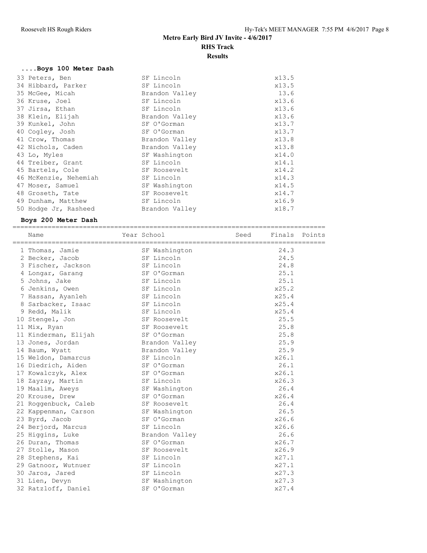## **....Boys 100 Meter Dash**

| 33 Peters, Ben        | SF Lincoln     | x13.5 |
|-----------------------|----------------|-------|
| 34 Hibbard, Parker    | SF Lincoln     | x13.5 |
| 35 McGee, Micah       | Brandon Valley | 13.6  |
| 36 Kruse, Joel        | SF Lincoln     | x13.6 |
| 37 Jirsa, Ethan       | SF Lincoln     | x13.6 |
| 38 Klein, Elijah      | Brandon Valley | x13.6 |
| 39 Kunkel, John       | SF O'Gorman    | x13.7 |
| 40 Cogley, Josh       | SF O'Gorman    | x13.7 |
| 41 Crow, Thomas       | Brandon Valley | x13.8 |
| 42 Nichols, Caden     | Brandon Valley | x13.8 |
| 43 Lo, Myles          | SF Washington  | x14.0 |
| 44 Treiber, Grant     | SF Lincoln     | x14.1 |
| 45 Bartels, Cole      | SF Roosevelt   | x14.2 |
| 46 McKenzie, Nehemiah | SF Lincoln     | x14.3 |
| 47 Moser, Samuel      | SF Washington  | x14.5 |
| 48 Groseth, Tate      | SF Roosevelt   | x14.7 |
| 49 Dunham, Matthew    | SF Lincoln     | x16.9 |
| 50 Hodge Jr, Rasheed  | Brandon Valley | x18.7 |

### **Boys 200 Meter Dash**

| Name                               | Year School    | Seed Finals Points |       |
|------------------------------------|----------------|--------------------|-------|
|                                    | SF Washington  |                    | 24.3  |
| 1 Thomas, Jamie<br>2 Becker, Jacob | SF Lincoln     |                    | 24.5  |
| 3 Fischer, Jackson                 | SF Lincoln     |                    | 24.8  |
| 4 Longar, Garang                   | SF O'Gorman    |                    | 25.1  |
| 5 Johns, Jake                      | SF Lincoln     |                    | 25.1  |
|                                    | SF Lincoln     |                    | x25.2 |
| 6 Jenkins, Owen                    |                |                    | x25.4 |
| 7 Hassan, Ayanleh                  | SF Lincoln     |                    |       |
| 8 Sarbacker, Isaac                 | SF Lincoln     |                    | x25.4 |
| 9 Redd, Malik                      | SF Lincoln     |                    | x25.4 |
| 10 Stengel, Jon                    | SF Roosevelt   |                    | 25.5  |
| 11 Mix, Ryan                       | SF Roosevelt   |                    | 25.8  |
| 11 Kinderman, Elijah               | SF O'Gorman    |                    | 25.8  |
| 13 Jones, Jordan                   | Brandon Valley |                    | 25.9  |
| 14 Baum, Wyatt                     | Brandon Valley |                    | 25.9  |
| 15 Weldon, Damarcus                | SF Lincoln     |                    | x26.1 |
| 16 Diedrich, Aiden                 | SF O'Gorman    |                    | 26.1  |
| 17 Kowalczyk, Alex                 | SF O'Gorman    |                    | x26.1 |
| 18 Zayzay, Martin                  | SF Lincoln     |                    | x26.3 |
| 19 Maalim, Aweys                   | SF Washington  |                    | 26.4  |
| 20 Krouse, Drew                    | SF O'Gorman    |                    | x26.4 |
| 21 Roggenbuck, Caleb               | SF Roosevelt   |                    | 26.4  |
| 22 Kappenman, Carson               | SF Washington  |                    | 26.5  |
| 23 Byrd, Jacob                     | SF O'Gorman    |                    | x26.6 |
| 24 Berjord, Marcus                 | SF Lincoln     |                    | x26.6 |
| 25 Higgins, Luke                   | Brandon Valley |                    | 26.6  |
| 26 Duran, Thomas                   | SF O'Gorman    |                    | x26.7 |
| 27 Stolle, Mason                   | SF Roosevelt   |                    | x26.9 |
| 28 Stephens, Kai                   | SF Lincoln     |                    | x27.1 |
| 29 Gatnoor, Wutnuer                | SF Lincoln     |                    | x27.1 |
| 30 Jaros, Jared                    | SF Lincoln     |                    | x27.3 |
| 31 Lien, Devyn                     | SF Washington  |                    | x27.3 |
| 32 Ratzloff, Daniel                | SF O'Gorman    |                    | x27.4 |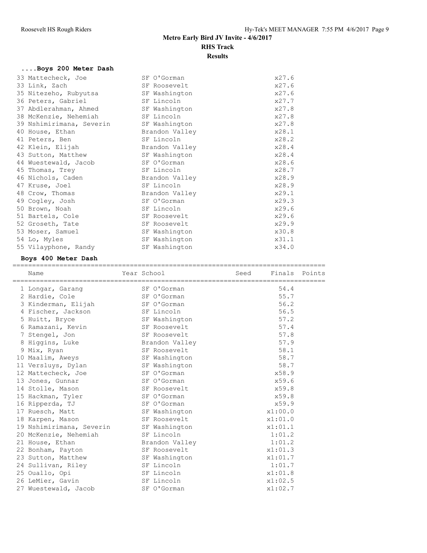## **....Boys 200 Meter Dash**

| 33 Mattecheck, Joe       | SF O'Gorman    | x27.6 |
|--------------------------|----------------|-------|
| 33 Link, Zach            | SF Roosevelt   | x27.6 |
| 35 Nitezeho, Rubyutsa    | SF Washington  | x27.6 |
| 36 Peters, Gabriel       | SF Lincoln     | x27.7 |
| 37 Abdlerahman, Ahmed    | SF Washington  | x27.8 |
| 38 McKenzie, Nehemiah    | SF Lincoln     | x27.8 |
| 39 Nshimirimana, Severin | SF Washington  | x27.8 |
| 40 House, Ethan          | Brandon Valley | x28.1 |
| 41 Peters, Ben           | SF Lincoln     | x28.2 |
| 42 Klein, Elijah         | Brandon Valley | x28.4 |
| 43 Sutton, Matthew       | SF Washington  | x28.4 |
| 44 Wuestewald, Jacob     | SF O'Gorman    | x28.6 |
| 45 Thomas, Trey          | SF Lincoln     | x28.7 |
| 46 Nichols, Caden        | Brandon Valley | x28.9 |
| 47 Kruse, Joel           | SF Lincoln     | x28.9 |
| 48 Crow, Thomas          | Brandon Valley | x29.1 |
| 49 Cogley, Josh          | SF O'Gorman    | x29.3 |
| 50 Brown, Noah           | SF Lincoln     | x29.6 |
| 51 Bartels, Cole         | SF Roosevelt   | x29.6 |
| 52 Groseth, Tate         | SF Roosevelt   | x29.9 |
| 53 Moser, Samuel         | SF Washington  | x30.8 |
| 54 Lo, Myles             | SF Washington  | x31.1 |
| 55 Vilayphone, Randy     | SF Washington  | x34.0 |

## **Boys 400 Meter Dash**

| Name                                   | Year School    | Seed | Finals Points |  |
|----------------------------------------|----------------|------|---------------|--|
| 1 Longar, Garang                       | SF O'Gorman    |      | 54.4          |  |
| 2 Hardie, Cole                         | SF O'Gorman    |      | 55.7          |  |
| 3 Kinderman, Elijah                    | SF O'Gorman    |      | 56.2          |  |
| 4 Fischer, Jackson                     | SF Lincoln     |      | 56.5          |  |
| 5 Huitt, Bryce                         | SF Washington  |      | 57.2          |  |
| 6 Ramazani, Kevin                      | SF Roosevelt   |      | 57.4          |  |
| 7 Stengel, Jon                         | SF Roosevelt   |      | 57.8          |  |
| 8 Higgins, Luke                        | Brandon Valley |      | 57.9          |  |
| 9 Mix, Ryan                            | SF Roosevelt   |      | 58.1          |  |
| 10 Maalim, Aweys                       | SF Washington  |      | 58.7          |  |
| 11 Versluys, Dylan                     | SF Washington  |      | 58.7          |  |
| 12 Mattecheck, Joe                     | SF O'Gorman    |      | x58.9         |  |
| 13 Jones, Gunnar                       | SF O'Gorman    |      | x59.6         |  |
| 14 Stolle, Mason                       | SF Roosevelt   |      | x59.8         |  |
| 15 Hackman, Tyler                      | SF O'Gorman    |      | x59.8         |  |
| 16 Ripperda, TJ                        | SF O'Gorman    |      | x59.9         |  |
| 17 Ruesch, Matt                        | SF Washington  |      | x1:00.0       |  |
| 18 Karpen, Mason                       | SF Roosevelt   |      | x1:01.0       |  |
| 19 Nshimirimana, Severin SF Washington |                |      | x1:01.1       |  |
| 20 McKenzie, Nehemiah                  | SF Lincoln     |      | 1:01.2        |  |
| 21 House, Ethan                        | Brandon Valley |      | 1:01.2        |  |
| 22 Bonham, Payton                      | SF Roosevelt   |      | x1:01.3       |  |
| 23 Sutton, Matthew                     | SF Washington  |      | x1:01.7       |  |
| 24 Sullivan, Riley                     | SF Lincoln     |      | 1:01.7        |  |
| 25 Ouallo, Opi                         | SF Lincoln     |      | x1:01.8       |  |
| 26 LeMier, Gavin                       | SF Lincoln     |      | x1:02.5       |  |
| 27 Wuestewald, Jacob                   | SF O'Gorman    |      | x1:02.7       |  |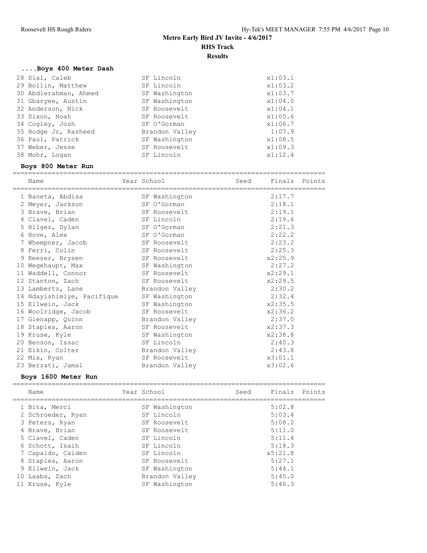## **....Boys 400 Meter Dash**

| 28 Dial, Caleb        | SF Lincoln     | x1:03.1 |
|-----------------------|----------------|---------|
| 29 Bollin, Matthew    | SF Lincoln     | x1:03.2 |
| 30 Abdlerahman, Ahmed | SF Washington  | x1:03.7 |
| 31 Gbaryee, Austin    | SF Washington  | x1:04.0 |
| 32 Anderson, Nick     | SF Roosevelt   | x1:04.1 |
| 33 Dixon, Noah        | SF Roosevelt   | x1:05.6 |
| 34 Cogley, Josh       | SF O'Gorman    | x1:06.7 |
| 35 Hodge Jr, Rasheed  | Brandon Valley | 1:07.9  |
| 36 Paul, Patrick      | SF Washington  | x1:08.5 |
| 37 Weber, Jesse       | SF Roosevelt   | x1:09.3 |
| 38 Mohr, Logan        | SF Lincoln     | x1:12.4 |
|                       |                |         |

### **Boys 800 Meter Run**

|  | Name                       | Year School    | Seed | Finals Points |  |
|--|----------------------------|----------------|------|---------------|--|
|  | 1 Baneta, Abdisa           | SF Washington  |      | 2:17.7        |  |
|  | 2 Meyer, Jackson           | SF O'Gorman    |      | 2:18.1        |  |
|  | 3 Brave, Brian             | SF Roosevelt   |      | 2:19.1        |  |
|  | 4 Clavel, Caden            | SF Lincoln     |      | 2:19.6        |  |
|  | 5 Hilger, Dylan            | SF O'Gorman    |      | 2:21.3        |  |
|  | 6 Hove, Alex               | SF O'Gorman    |      | 2:22.2        |  |
|  | 7 Whempner, Jacob          | SF Roosevelt   |      | 2:23.2        |  |
|  | 8 Ferri, Colin             | SF Roosevelt   |      | 2:25.3        |  |
|  | 9 Reeser, Brysen           | SF Roosevelt   |      | x2:25.9       |  |
|  | 10 Wegehaupt, Max          | SF Washington  |      | 2:27.2        |  |
|  | 11 Waddell, Connor         | SF Roosevelt   |      | x2:29.1       |  |
|  | 12 Stanton, Zach           | SF Roosevelt   |      | x2:29.5       |  |
|  | 13 Lambertz, Lane          | Brandon Valley |      | 2:30.2        |  |
|  | 14 Ndayishimiye, Pacifique | SF Washington  |      | 2:32.4        |  |
|  | 15 Ellwein, Jack           | SF Washington  |      | x2:35.5       |  |
|  | 16 Woolridge, Jacob        | SF Roosevelt   |      | x2:36.2       |  |
|  | 17 Gienapp, Quinn          | Brandon Valley |      | 2:37.0        |  |
|  | 18 Staples, Aaron          | SF Roosevelt   |      | x2:37.3       |  |
|  | 19 Kruse, Kyle             | SF Washington  |      | x2:38.8       |  |
|  | 20 Benson, Issac           | SF Lincoln     |      | 2:40.3        |  |
|  | 21 Elkin, Colter           | Brandon Valley |      | 2:43.8        |  |
|  | 22 Mix, Ryan               | SF Roosevelt   |      | x3:01.1       |  |
|  | 23 Berzati, Jamal          | Brandon Valley |      | x3:02.6       |  |
|  |                            |                |      |               |  |

## **Boys 1600 Meter Run**

|  | Name              | Year School    | Seed | Finals Points |  |
|--|-------------------|----------------|------|---------------|--|
|  | 1 Bita, Merci     | SF Washington  |      | 5:02.8        |  |
|  | 2 Schroeder, Ryan | SF Lincoln     |      | 5:03.4        |  |
|  | 3 Peters, Ryan    | SF Roosevelt   |      | 5:08.2        |  |
|  | 4 Brave, Brian    | SF Roosevelt   |      | 5:11.0        |  |
|  | 5 Clavel, Caden   | SF Lincoln     |      | 5:11.4        |  |
|  | 6 Schott, Isaih   | SF Lincoln     |      | 5:18.3        |  |
|  | 7 Capaldo, Caiden | SF Lincoln     |      | x5:21.8       |  |
|  | 8 Staples, Aaron  | SF Roosevelt   |      | 5:27.1        |  |
|  | 9 Ellwein, Jack   | SF Washington  |      | 5:44.1        |  |
|  | 10 Laabs, Zach    | Brandon Valley |      | 5:45.0        |  |
|  | 11 Kruse, Kyle    | SF Washington  |      | 5:46.3        |  |
|  |                   |                |      |               |  |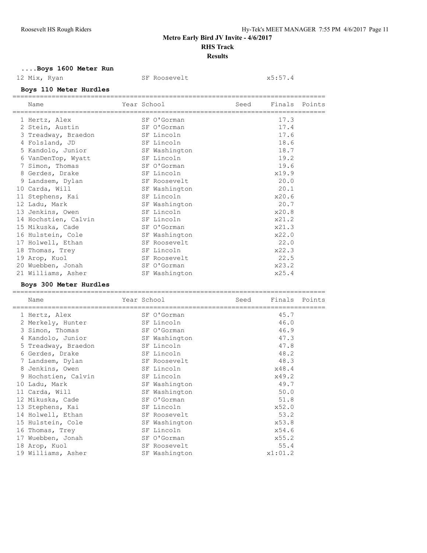## **....Boys 1600 Meter Run**

### 12 Mix, Ryan SF Roosevelt x5:57.4

**Boys 110 Meter Hurdles**

| Name                 | Year School |               | Seed | Finals Points |  |
|----------------------|-------------|---------------|------|---------------|--|
| 1 Hertz, Alex        |             | SF O'Gorman   |      | 17.3          |  |
| 2 Stein, Austin      |             | SF O'Gorman   |      | 17.4          |  |
| 3 Treadway, Braedon  |             | SF Lincoln    |      | 17.6          |  |
| 4 Folsland, JD       |             | SF Lincoln    |      | 18.6          |  |
| 5 Kandolo, Junior    |             | SF Washington |      | 18.7          |  |
| 6 VanDenTop, Wyatt   |             | SF Lincoln    |      | 19.2          |  |
| 7 Simon, Thomas      |             | SF O'Gorman   |      | 19.6          |  |
| 8 Gerdes, Drake      |             | SF Lincoln    |      | x19.9         |  |
| 9 Landsem, Dylan     |             | SF Roosevelt  |      | 20.0          |  |
| 10 Carda, Will       |             | SF Washington |      | 20.1          |  |
| 11 Stephens, Kai     |             | SF Lincoln    |      | x20.6         |  |
| 12 Ladu, Mark        |             | SF Washington |      | 20.7          |  |
| 13 Jenkins, Owen     |             | SF Lincoln    |      | x20.8         |  |
| 14 Hochstien, Calvin |             | SF Lincoln    |      | x21.2         |  |
| 15 Mikuska, Cade     |             | SF O'Gorman   |      | x21.3         |  |
| 16 Hulstein, Cole    |             | SF Washington |      | x22.0         |  |
| 17 Holwell, Ethan    |             | SF Roosevelt  |      | 22.0          |  |
| 18 Thomas, Trey      |             | SF Lincoln    |      | x22.3         |  |
| 19 Arop, Kuol        |             | SF Roosevelt  |      | 22.5          |  |
| 20 Wuebben, Jonah    |             | SF O'Gorman   |      | x23.2         |  |
| 21 Williams, Asher   |             | SF Washington |      | x25.4         |  |

#### **Boys 300 Meter Hurdles**

| Name                |  | Seed                                                                                                                                                                                                                                                                                                           | Finals | Points  |
|---------------------|--|----------------------------------------------------------------------------------------------------------------------------------------------------------------------------------------------------------------------------------------------------------------------------------------------------------------|--------|---------|
| 1 Hertz, Alex       |  |                                                                                                                                                                                                                                                                                                                | 45.7   |         |
| 2 Merkely, Hunter   |  |                                                                                                                                                                                                                                                                                                                | 46.0   |         |
| 3 Simon, Thomas     |  |                                                                                                                                                                                                                                                                                                                | 46.9   |         |
| 4 Kandolo, Junior   |  |                                                                                                                                                                                                                                                                                                                | 47.3   |         |
| 5 Treadway, Braedon |  |                                                                                                                                                                                                                                                                                                                | 47.8   |         |
| 6 Gerdes, Drake     |  |                                                                                                                                                                                                                                                                                                                | 48.2   |         |
| 7 Landsem, Dylan    |  |                                                                                                                                                                                                                                                                                                                | 48.3   |         |
| 8 Jenkins, Owen     |  |                                                                                                                                                                                                                                                                                                                | x48.4  |         |
| 9 Hochstien, Calvin |  |                                                                                                                                                                                                                                                                                                                | x49.2  |         |
| 10 Ladu, Mark       |  |                                                                                                                                                                                                                                                                                                                | 49.7   |         |
| 11 Carda, Will      |  |                                                                                                                                                                                                                                                                                                                | 50.0   |         |
| 12 Mikuska, Cade    |  |                                                                                                                                                                                                                                                                                                                | 51.8   |         |
| 13 Stephens, Kai    |  |                                                                                                                                                                                                                                                                                                                | x52.0  |         |
| 14 Holwell, Ethan   |  |                                                                                                                                                                                                                                                                                                                | 53.2   |         |
| 15 Hulstein, Cole   |  |                                                                                                                                                                                                                                                                                                                | x53.8  |         |
| 16 Thomas, Trey     |  |                                                                                                                                                                                                                                                                                                                | x54.6  |         |
| 17 Wuebben, Jonah   |  |                                                                                                                                                                                                                                                                                                                | x55.2  |         |
| 18 Arop, Kuol       |  |                                                                                                                                                                                                                                                                                                                | 55.4   |         |
| 19 Williams, Asher  |  |                                                                                                                                                                                                                                                                                                                |        |         |
|                     |  | Year School<br>SF O'Gorman<br>SF Lincoln<br>SF O'Gorman<br>SF Washington<br>SF Lincoln<br>SF Lincoln<br>SF Roosevelt<br>SF Lincoln<br>SF Lincoln<br>SF Washington<br>SF Washington<br>SF O'Gorman<br>SF Lincoln<br>SF Roosevelt<br>SF Washington<br>SF Lincoln<br>SF O'Gorman<br>SF Roosevelt<br>SF Washington |        | x1:01.2 |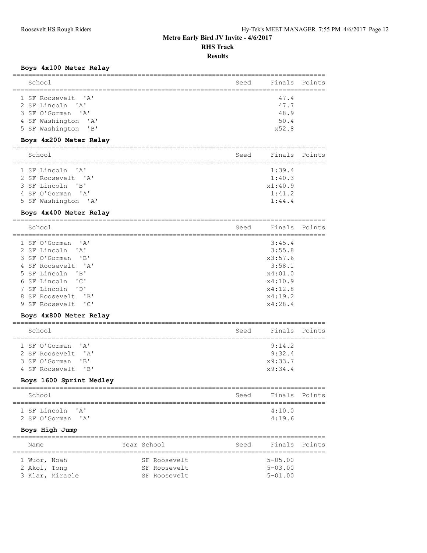#### **Results**

### **Boys 4x100 Meter Relay**

| School                                       | Seed | Finals  | Points |
|----------------------------------------------|------|---------|--------|
| 1 SF Roosevelt 'A'                           |      | 47.4    |        |
| 2 SF Lincoln 'A'                             |      | 47.7    |        |
| 3 SF O'Gorman 'A'                            |      | 48.9    |        |
| 4 SF Washington<br>$^{\prime}$ A $^{\prime}$ |      | 50.4    |        |
| "B"<br>5 SF Washington                       |      | x52.8   |        |
| Boys 4x200 Meter Relay                       |      |         |        |
| School                                       | Seed | Finals  | Points |
| 1 SF Lincoln 'A'                             |      | 1:39.4  |        |
| 2 SF Roosevelt 'A'                           |      | 1:40.3  |        |
| 3 SF Lincoln 'B'                             |      | x1:40.9 |        |
| 4 SF O'Gorman 'A'                            |      | 1:41.2  |        |
| 5 SF Washington<br>$^{\prime}$ A $^{\prime}$ |      | 1:44.4  |        |
| Boys 4x400 Meter Relay                       |      |         |        |
| School                                       | Seed | Finals  | Points |
|                                              |      |         |        |

| 1 SF O'Gorman 'A'  | 3:45.4  |
|--------------------|---------|
| 2 SF Lincoln 'A'   | 3:55.8  |
| 3 SF O'Gorman 'B'  | x3:57.6 |
| 4 SF Roosevelt 'A' | 3:58.1  |
| 5 SF Lincoln 'B'   | x4:01.0 |
| 6 SF Lincoln 'C'   | x4:10.9 |
| 7 SF Lincoln 'D'   | x4:12.8 |
| 8 SF Roosevelt 'B' | x4:19.2 |
| 9 SF Roosevelt 'C' | x4:28.4 |

### **Boys 4x800 Meter Relay**

| School                                   | Seed | Finals Points    |  |
|------------------------------------------|------|------------------|--|
| 1 SF O'Gorman 'A'<br>2 SF Roosevelt. 'A' |      | 9:14.2<br>9:32.4 |  |
| 3 SF O'Gorman 'B'                        |      | x9:33.7          |  |
| 4 SF Roosevelt. 'B'                      |      | x9:34.4          |  |

### **Boys 1600 Sprint Medley**

| School            |  |  | Seed |        | Finals Points |
|-------------------|--|--|------|--------|---------------|
| 1 SF Lincoln 'A'  |  |  |      | 4:10.0 |               |
| 2 SF O'Gorman 'A' |  |  |      | 4:19.6 |               |

### **Boys High Jump**

| Name         |                 | Year School |              | Seed | Finals Points  |  |
|--------------|-----------------|-------------|--------------|------|----------------|--|
|              |                 |             |              |      |                |  |
| 1 Wuor, Noah |                 |             | SF Roosevelt |      | $5 - 0.5$ , 00 |  |
| 2 Akol, Tong |                 |             | SF Roosevelt |      | $5 - 0.3$ , 00 |  |
|              | 3 Klar, Miracle |             | SF Roosevelt |      | $5 - 01.00$    |  |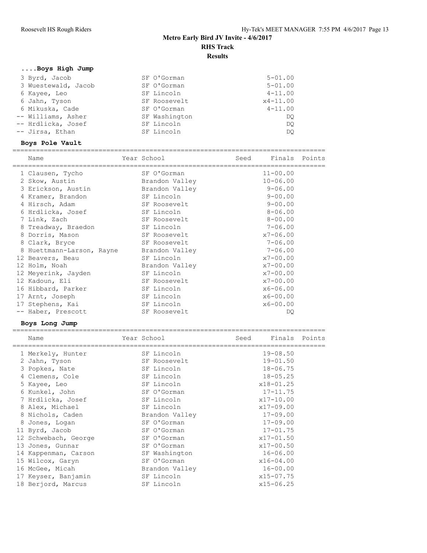## **....Boys High Jump**

| 3 Byrd, Jacob       | SF O'Gorman   | $5 - 01.00$  |
|---------------------|---------------|--------------|
| 3 Wuestewald, Jacob | SF O'Gorman   | $5 - 01.00$  |
| 6 Kayee, Leo        | SF Lincoln    | $4 - 11.00$  |
| 6 Jahn, Tyson       | SF Roosevelt  | $x4 - 11.00$ |
| 6 Mikuska, Cade     | SF O'Gorman   | $4 - 11.00$  |
| -- Williams, Asher  | SF Washington | DO.          |
| -- Hrdlicka, Josef  | SF Lincoln    | DO.          |
| -- Jirsa, Ethan     | SF Lincoln    | DO           |

### **Boys Pole Vault**

| Name<br>issessessessessessessess | Year School    | Seed | Finals Points |  |
|----------------------------------|----------------|------|---------------|--|
| 1 Clausen, Tycho                 | SF O'Gorman    |      | $11 - 00.00$  |  |
| 2 Skow, Austin                   | Brandon Valley |      | $10 - 06.00$  |  |
| 3 Erickson, Austin               | Brandon Valley |      | $9 - 06.00$   |  |
| 4 Kramer, Brandon                | SF Lincoln     |      | $9 - 00.00$   |  |
| 4 Hirsch, Adam                   | SF Roosevelt   |      | $9 - 00.00$   |  |
| 6 Hrdlicka, Josef                | SF Lincoln     |      | $8 - 06.00$   |  |
| 7 Link, Zach                     | SF Roosevelt   |      | $8 - 00.00$   |  |
| 8 Treadway, Braedon              | SF Lincoln     |      | $7 - 06.00$   |  |
| 8 Dorris, Mason                  | SF Roosevelt   |      | $x7 - 06.00$  |  |
| 8 Clark, Bryce                   | SF Roosevelt   |      | $7 - 06.00$   |  |
| 8 Huettmann-Larson, Rayne        | Brandon Valley |      | $7 - 06.00$   |  |
| 12 Beavers, Beau                 | SF Lincoln     |      | $x7 - 00.00$  |  |
| 12 Holm, Noah                    | Brandon Valley |      | $x7 - 00.00$  |  |
| 12 Meyerink, Jayden              | SF Lincoln     |      | $x7 - 00.00$  |  |
| 12 Kadoun, Eli                   | SF Roosevelt   |      | $x7 - 00.00$  |  |
| 16 Hibbard, Parker               | SF Lincoln     |      | $x6 - 06.00$  |  |
| 17 Arnt, Joseph                  | SF Lincoln     |      | $x6 - 00.00$  |  |
| 17 Stephens, Kai                 | SF Lincoln     |      | $x6 - 00.00$  |  |
| -- Haber, Prescott               | SF Roosevelt   |      | DO            |  |

### **Boys Long Jump**

| Name<br>======================= | Year School    | Seed | Finals Points |  |
|---------------------------------|----------------|------|---------------|--|
| 1 Merkely, Hunter               | SF Lincoln     |      | $19 - 08.50$  |  |
| 2 Jahn, Tyson                   | SF Roosevelt   |      | $19 - 01.50$  |  |
| 3 Popkes, Nate                  | SF Lincoln     |      | $18 - 06.75$  |  |
| 4 Clemens, Cole                 | SF Lincoln     |      | $18 - 05.25$  |  |
| 5 Kayee, Leo                    | SF Lincoln     |      | x18-01.25     |  |
| 6 Kunkel, John                  | SF O'Gorman    |      | $17 - 11.75$  |  |
| 7 Hrdlicka, Josef               | SF Lincoln     |      | $x17 - 10.00$ |  |
| 8 Alex, Michael                 | SF Lincoln     |      | $x17-09.00$   |  |
| 8 Nichols, Caden                | Brandon Valley |      | $17 - 09.00$  |  |
| 8 Jones, Logan                  | SF O'Gorman    |      | $17 - 09.00$  |  |
| 11 Byrd, Jacob                  | SF O'Gorman    |      | $17 - 01.75$  |  |
| 12 Schwebach, George            | SF O'Gorman    |      | $x17 - 01.50$ |  |
| 13 Jones, Gunnar                | SF O'Gorman    |      | $x17 - 00.50$ |  |
| 14 Kappenman, Carson            | SF Washington  |      | $16 - 06.00$  |  |
| 15 Wilcox, Garyn                | SF O'Gorman    |      | $x16 - 04.00$ |  |
| 16 McGee, Micah                 | Brandon Valley |      | $16 - 00.00$  |  |
| 17 Keyser, Banjamin             | SF Lincoln     |      | $x15 - 07.75$ |  |
| 18 Berjord, Marcus              | SF Lincoln     |      | $x15 - 06.25$ |  |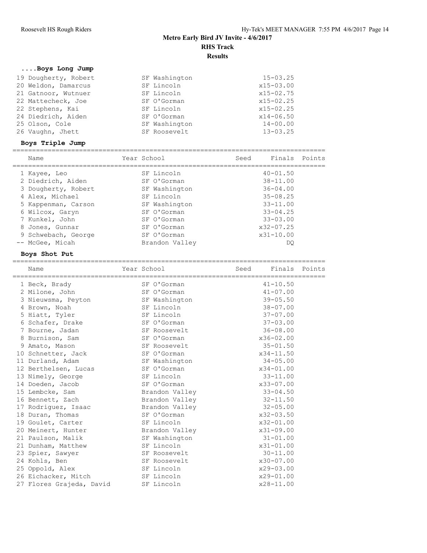## **....Boys Long Jump**

| 19 Dougherty, Robert | SF Washington | $15 - 03.25$  |
|----------------------|---------------|---------------|
| 20 Weldon, Damarcus  | SF Lincoln    | $x15 - 03.00$ |
| 21 Gatnoor, Wutnuer  | SF Lincoln    | $x15 - 02.75$ |
| 22 Mattecheck, Joe   | SF O'Gorman   | $x15 - 02.25$ |
| 22 Stephens, Kai     | SF Lincoln    | $x15 - 02.25$ |
| 24 Diedrich, Aiden   | SF O'Gorman   | $x14 - 06.50$ |
| 25 Olson, Cole       | SF Washington | $14 - 00.00$  |
| 26 Vaughn, Jhett     | SF Roosevelt  | $13 - 03.25$  |
|                      |               |               |

### **Boys Triple Jump**

| Name                | Year School    | Seed | Finals        | Points |
|---------------------|----------------|------|---------------|--------|
|                     | SF Lincoln     |      | $40 - 01.50$  |        |
| 1 Kayee, Leo        |                |      |               |        |
| 2 Diedrich, Aiden   | SF O'Gorman    |      | $38 - 11.00$  |        |
| 3 Dougherty, Robert | SF Washington  |      | $36 - 04.00$  |        |
| 4 Alex, Michael     | SF Lincoln     |      | $35 - 08.25$  |        |
| 5 Kappenman, Carson | SF Washington  |      | $33 - 11.00$  |        |
| 6 Wilcox, Garyn     | SF O'Gorman    |      | $33 - 04.25$  |        |
| 7 Kunkel, John      | SF O'Gorman    |      | $33 - 03.00$  |        |
| 8 Jones, Gunnar     | SF O'Gorman    |      | $x32 - 07.25$ |        |
| 9 Schwebach, George | SF O'Gorman    |      | $x31 - 10.00$ |        |
| -- McGee, Micah     | Brandon Valley |      | DC            |        |

#### **Boys Shot Put**

| Name                     | Year School    | Seed Finals Points |  |
|--------------------------|----------------|--------------------|--|
| 1 Beck, Brady            | SF O'Gorman    | $41 - 10.50$       |  |
| 2 Milone, John           | SF O'Gorman    | $41 - 07.00$       |  |
| 3 Nieuwsma, Peyton       | SF Washington  | $39 - 05.50$       |  |
| 4 Brown, Noah            | SF Lincoln     | $38 - 07.00$       |  |
| 5 Hiatt, Tyler           | SF Lincoln     | $37 - 07.00$       |  |
| 6 Schafer, Drake         | SF O'Gorman    | $37 - 03.00$       |  |
| 7 Bourne, Jadan          | SF Roosevelt   | $36 - 08.00$       |  |
| 8 Burnison, Sam          | SF O'Gorman    | $x36 - 02.00$      |  |
| 9 Amato, Mason           | SF Roosevelt   | $35 - 01.50$       |  |
| 10 Schnetter, Jack       | SF O'Gorman    | $x34 - 11.50$      |  |
| 11 Durland, Adam         | SF Washington  | $34 - 05.00$       |  |
| 12 Berthelsen, Lucas     | SF O'Gorman    | $x34 - 01.00$      |  |
| 13 Nimely, George        | SF Lincoln     | $33 - 11.00$       |  |
| 14 Doeden, Jacob         | SF O'Gorman    | x33-07.00          |  |
| 15 Lembcke, Sam          | Brandon Valley | $33 - 04.50$       |  |
| 16 Bennett, Zach         | Brandon Valley | $32 - 11.50$       |  |
| 17 Rodriguez, Isaac      | Brandon Valley | $32 - 05.00$       |  |
| 18 Duran, Thomas         | SF O'Gorman    | x32-03.50          |  |
| 19 Goulet, Carter        | SF Lincoln     | x32-01.00          |  |
| 20 Meinert, Hunter       | Brandon Valley | x31-09.00          |  |
| 21 Paulson, Malik        | SF Washington  | $31 - 01.00$       |  |
| 21 Dunham, Matthew       | SF Lincoln     | x31-01.00          |  |
| 23 Spier, Sawyer         | SF Roosevelt   | $30 - 11.00$       |  |
| 24 Kohls, Ben            | SF Roosevelt   | x30-07.00          |  |
| 25 Oppold, Alex          | SF Lincoln     | x29-03.00          |  |
| 26 Eichacker, Mitch      | SF Lincoln     | $x29 - 01.00$      |  |
| 27 Flores Grajeda, David | SF Lincoln     | $x28 - 11.00$      |  |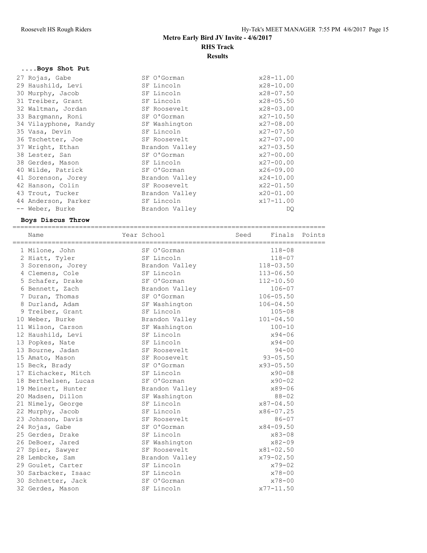## **....Boys Shot Put**

| 27 Rojas, Gabe       | SF O'Gorman    | $x28 - 11.00$ |
|----------------------|----------------|---------------|
| 29 Haushild, Levi    | SF Lincoln     | $x28 - 10.00$ |
| 30 Murphy, Jacob     | SF Lincoln     | $x28 - 07.50$ |
| 31 Treiber, Grant    | SF Lincoln     | $x28 - 05.50$ |
| 32 Waltman, Jordan   | SF Roosevelt   | $x28 - 03.00$ |
| 33 Bargmann, Roni    | SF O'Gorman    | $x27 - 10.50$ |
| 34 Vilayphone, Randy | SF Washington  | $x27 - 08.00$ |
| 35 Vasa, Devin       | SF Lincoln     | $x27 - 07.50$ |
| 36 Tschetter, Joe    | SF Roosevelt   | $x27 - 07.00$ |
|                      |                |               |
| 37 Wright, Ethan     | Brandon Valley | $x27 - 03.50$ |
| 38 Lester, San       | SF O'Gorman    | $x27 - 00.00$ |
| 38 Gerdes, Mason     | SF Lincoln     | $x27 - 00.00$ |
| 40 Wilde, Patrick    | SF O'Gorman    | $x26 - 09.00$ |
| 41 Sorenson, Jorey   | Brandon Valley | $x24 - 10.00$ |
| 42 Hanson, Colin     | SF Roosevelt   | $x22 - 01.50$ |
| 43 Trout, Tucker     | Brandon Valley | x20-01.00     |
| 44 Anderson, Parker  | SF Lincoln     | $x17 - 11.00$ |

### **Boys Discus Throw**

|  | Name                 | Year School                 | Seed          | Finals Points |
|--|----------------------|-----------------------------|---------------|---------------|
|  | 1 Milone, John       | SF O'Gorman                 | $118 - 08$    |               |
|  | 2 Hiatt, Tyler       | SF Lincoln                  | $118 - 07$    |               |
|  | 3 Sorenson, Jorey    | Brandon Valley              | $118 - 03.50$ |               |
|  | 4 Clemens, Cole      | SF Lincoln                  | $113 - 06.50$ |               |
|  | 5 Schafer, Drake     | SF O'Gorman                 | $112 - 10.50$ |               |
|  | 6 Bennett, Zach      | Brandon Valley              | $106 - 07$    |               |
|  | 7 Duran, Thomas      | SF O'Gorman                 | $106 - 05.50$ |               |
|  |                      |                             | $106 - 04.50$ |               |
|  | 8 Durland, Adam      | SF Washington<br>SF Lincoln | $105 - 08$    |               |
|  | 9 Treiber, Grant     |                             | $101 - 04.50$ |               |
|  | 10 Weber, Burke      | Brandon Valley              |               |               |
|  | 11 Wilson, Carson    | SF Washington               | $100 - 10$    |               |
|  | 12 Haushild, Levi    | SF Lincoln                  | $x94 - 06$    |               |
|  | 13 Popkes, Nate      | SF Lincoln                  | $x94 - 00$    |               |
|  | 13 Bourne, Jadan     | SF Roosevelt                | $94 - 00$     |               |
|  | 15 Amato, Mason      | SF Roosevelt                | $93 - 05.50$  |               |
|  | 15 Beck, Brady       | SF O'Gorman                 | x93-05.50     |               |
|  | 17 Eichacker, Mitch  | SF Lincoln                  | $x90 - 08$    |               |
|  | 18 Berthelsen, Lucas | SF O'Gorman                 | $x90 - 02$    |               |
|  | 19 Meinert, Hunter   | Brandon Valley              | $x89 - 06$    |               |
|  | 20 Madsen, Dillon    | SF Washington               | $88 - 02$     |               |
|  | 21 Nimely, George    | SF Lincoln                  | $x87 - 04.50$ |               |
|  | 22 Murphy, Jacob     | SF Lincoln                  | x86-07.25     |               |
|  | 23 Johnson, Davis    | SF Roosevelt                | $86 - 07$     |               |
|  | 24 Rojas, Gabe       | SF O'Gorman                 | $x84 - 09.50$ |               |
|  | 25 Gerdes, Drake     | SF Lincoln                  | $x83 - 08$    |               |
|  | 26 DeBoer, Jared     | SF Washington               | $x82 - 09$    |               |
|  | 27 Spier, Sawyer     | SF Roosevelt                | $x81 - 02.50$ |               |
|  | 28 Lembcke, Sam      | Brandon Valley              | x79-02.50     |               |
|  | 29 Goulet, Carter    | SF Lincoln                  | $x79 - 02$    |               |
|  | 30 Sarbacker, Isaac  | SF Lincoln                  | $x78 - 00$    |               |
|  | 30 Schnetter, Jack   | SF O'Gorman                 | $x78 - 00$    |               |
|  | 32 Gerdes, Mason     | SF Lincoln                  | $x77 - 11.50$ |               |
|  |                      |                             |               |               |